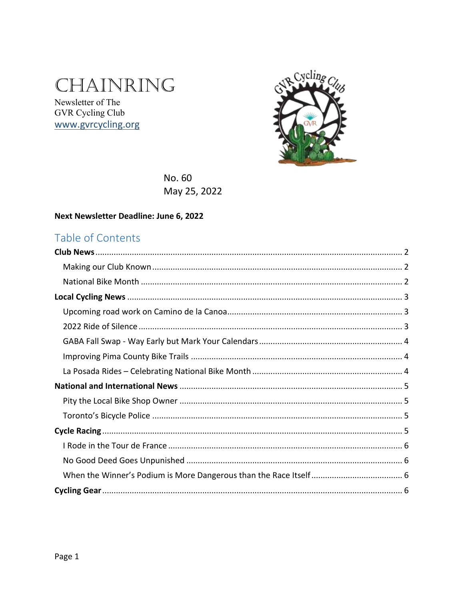# CHAINRING

Newsletter of The GVR Cycling Club www.gvrcycling.org



No. 60 May 25, 2022

#### Next Newsletter Deadline: June 6, 2022

### Table of Contents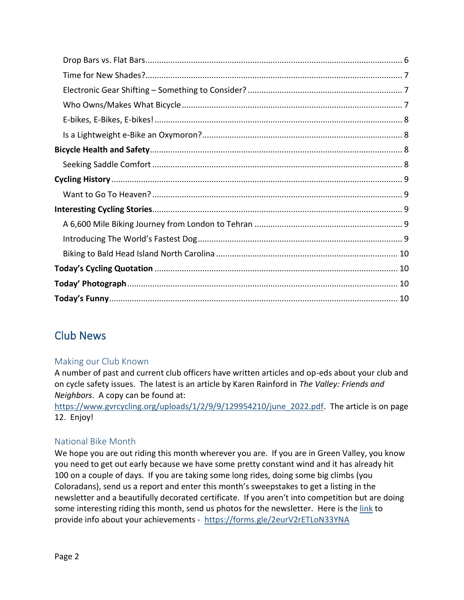# <span id="page-1-0"></span>Club News

#### <span id="page-1-1"></span>Making our Club Known

A number of past and current club officers have written articles and op-eds about your club and on cycle safety issues. The latest is an article by Karen Rainford in *The Valley: Friends and Neighbors*. A copy can be found at:

[https://www.gvrcycling.org/uploads/1/2/9/9/129954210/june\\_2022.pdf.](https://www.gvrcycling.org/uploads/1/2/9/9/129954210/june_2022.pdf) The article is on page 12. Enjoy!

#### <span id="page-1-2"></span>National Bike Month

We hope you are out riding this month wherever you are. If you are in Green Valley, you know you need to get out early because we have some pretty constant wind and it has already hit 100 on a couple of days. If you are taking some long rides, doing some big climbs (you Coloradans), send us a report and enter this month's sweepstakes to get a listing in the newsletter and a beautifully decorated certificate. If you aren't into competition but are doing some interesting riding this month, send us photos for the newsletter. Here is th[e link](https://forms.gle/2eurV2rETLoN33YNA) to provide info about your achievements - <https://forms.gle/2eurV2rETLoN33YNA>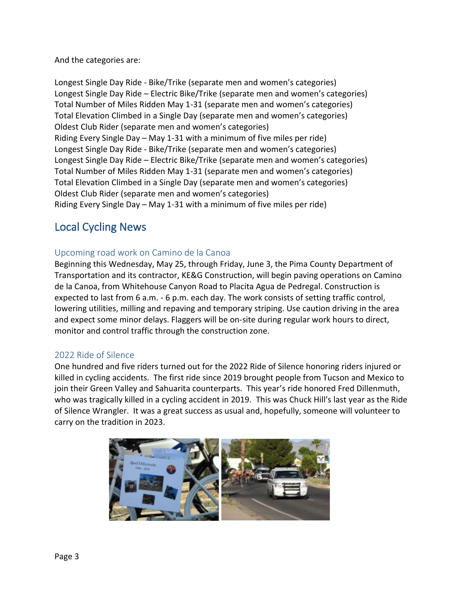And the categories are:

Longest Single Day Ride - Bike/Trike (separate men and women's categories) Longest Single Day Ride – Electric Bike/Trike (separate men and women's categories) Total Number of Miles Ridden May 1-31 (separate men and women's categories) Total Elevation Climbed in a Single Day (separate men and women's categories) Oldest Club Rider (separate men and women's categories) Riding Every Single Day – May 1-31 with a minimum of five miles per ride) Longest Single Day Ride - Bike/Trike (separate men and women's categories) Longest Single Day Ride – Electric Bike/Trike (separate men and women's categories) Total Number of Miles Ridden May 1-31 (separate men and women's categories) Total Elevation Climbed in a Single Day (separate men and women's categories) Oldest Club Rider (separate men and women's categories) Riding Every Single Day – May 1-31 with a minimum of five miles per ride)

### <span id="page-2-0"></span>Local Cycling News

#### <span id="page-2-1"></span>Upcoming road work on Camino de la Canoa

Beginning this Wednesday, May 25, through Friday, June 3, the Pima County Department of Transportation and its contractor, KE&G Construction, will begin paving operations on Camino de la Canoa, from Whitehouse Canyon Road to Placita Agua de Pedregal. Construction is expected to last from 6 a.m. - 6 p.m. each day. The work consists of setting traffic control, lowering utilities, milling and repaving and temporary striping. Use caution driving in the area and expect some minor delays. Flaggers will be on-site during regular work hours to direct, monitor and control traffic through the construction zone.

#### <span id="page-2-2"></span>2022 Ride of Silence

One hundred and five riders turned out for the 2022 Ride of Silence honoring riders injured or killed in cycling accidents. The first ride since 2019 brought people from Tucson and Mexico to join their Green Valley and Sahuarita counterparts. This year's ride honored Fred Dillenmuth, who was tragically killed in a cycling accident in 2019. This was Chuck Hill's last year as the Ride of Silence Wrangler. It was a great success as usual and, hopefully, someone will volunteer to carry on the tradition in 2023.

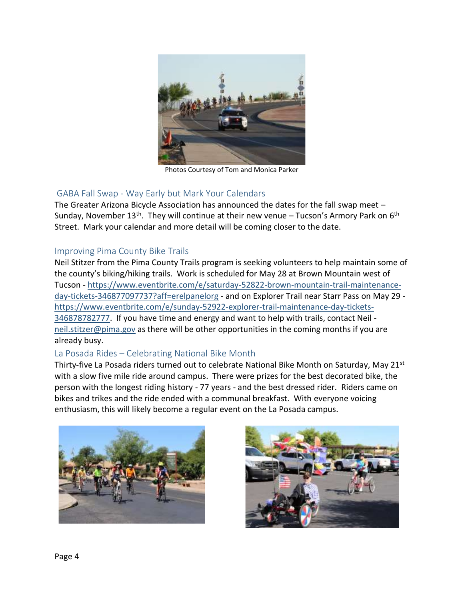

Photos Courtesy of Tom and Monica Parker

#### <span id="page-3-0"></span>GABA Fall Swap - Way Early but Mark Your Calendars

The Greater Arizona Bicycle Association has announced the dates for the fall swap meet – Sunday, November 13<sup>th</sup>. They will continue at their new venue – Tucson's Armory Park on 6<sup>th</sup> Street. Mark your calendar and more detail will be coming closer to the date.

#### <span id="page-3-1"></span>Improving Pima County Bike Trails

Neil Stitzer from the Pima County Trails program is seeking volunteers to help maintain some of the county's biking/hiking trails. Work is scheduled for May 28 at Brown Mountain west of Tucson - [https://www.eventbrite.com/e/saturday-52822-brown-mountain-trail-maintenance](https://www.eventbrite.com/e/saturday-52822-brown-mountain-trail-maintenance-day-tickets-346877097737?aff=erelpanelorg)[day-tickets-346877097737?aff=erelpanelorg](https://www.eventbrite.com/e/saturday-52822-brown-mountain-trail-maintenance-day-tickets-346877097737?aff=erelpanelorg) - and on Explorer Trail near Starr Pass on May 29 [https://www.eventbrite.com/e/sunday-52922-explorer-trail-maintenance-day-tickets-](https://www.eventbrite.com/e/sunday-52922-explorer-trail-maintenance-day-tickets-346878782777)[346878782777.](https://www.eventbrite.com/e/sunday-52922-explorer-trail-maintenance-day-tickets-346878782777) If you have time and energy and want to help with trails, contact Neil [neil.stitzer@pima.gov](mailto:neil.stitzer@pima.gov) as there will be other opportunities in the coming months if you are already busy.

#### <span id="page-3-2"></span>La Posada Rides – Celebrating National Bike Month

Thirty-five La Posada riders turned out to celebrate National Bike Month on Saturday, May 21<sup>st</sup> with a slow five mile ride around campus. There were prizes for the best decorated bike, the person with the longest riding history - 77 years - and the best dressed rider. Riders came on bikes and trikes and the ride ended with a communal breakfast. With everyone voicing enthusiasm, this will likely become a regular event on the La Posada campus.



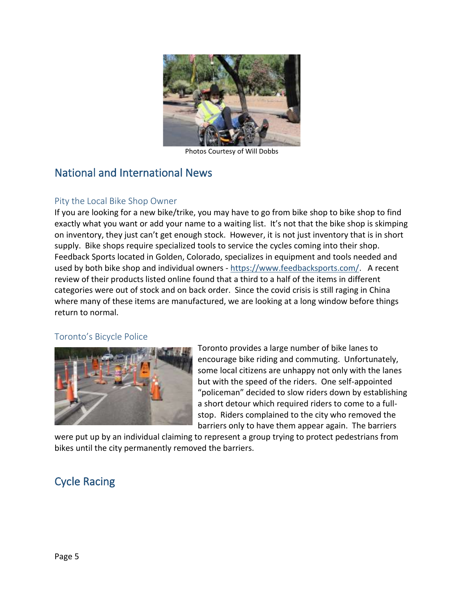

Photos Courtesy of Will Dobbs

### <span id="page-4-0"></span>National and International News

#### <span id="page-4-1"></span>Pity the Local Bike Shop Owner

If you are looking for a new bike/trike, you may have to go from bike shop to bike shop to find exactly what you want or add your name to a waiting list. It's not that the bike shop is skimping on inventory, they just can't get enough stock. However, it is not just inventory that is in short supply. Bike shops require specialized tools to service the cycles coming into their shop. Feedback Sports located in Golden, Colorado, specializes in equipment and tools needed and used by both bike shop and individual owners - [https://www.feedbacksports.com/.](https://www.feedbacksports.com/) A recent review of their products listed online found that a third to a half of the items in different categories were out of stock and on back order. Since the covid crisis is still raging in China where many of these items are manufactured, we are looking at a long window before things return to normal.

#### <span id="page-4-2"></span>Toronto's Bicycle Police



Toronto provides a large number of bike lanes to encourage bike riding and commuting. Unfortunately, some local citizens are unhappy not only with the lanes but with the speed of the riders. One self-appointed "policeman" decided to slow riders down by establishing a short detour which required riders to come to a fullstop. Riders complained to the city who removed the barriers only to have them appear again. The barriers

were put up by an individual claiming to represent a group trying to protect pedestrians from bikes until the city permanently removed the barriers.

### <span id="page-4-3"></span>Cycle Racing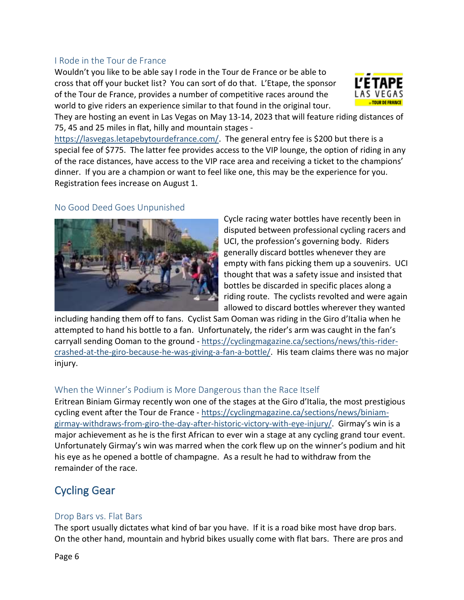#### <span id="page-5-0"></span>I Rode in the Tour de France

Wouldn't you like to be able say I rode in the Tour de France or be able to cross that off your bucket list? You can sort of do that. L'Etape, the sponsor of the Tour de France, provides a number of competitive races around the world to give riders an experience similar to that found in the original tour.



They are hosting an event in Las Vegas on May 13-14, 2023 that will feature riding distances of 75, 45 and 25 miles in flat, hilly and mountain stages -

[https://lasvegas.letapebytourdefrance.com/.](https://lasvegas.letapebytourdefrance.com/) The general entry fee is \$200 but there is a special fee of \$775. The latter fee provides access to the VIP lounge, the option of riding in any of the race distances, have access to the VIP race area and receiving a ticket to the champions' dinner. If you are a champion or want to feel like one, this may be the experience for you. Registration fees increase on August 1.

#### <span id="page-5-1"></span>No Good Deed Goes Unpunished



Cycle racing water bottles have recently been in disputed between professional cycling racers and UCI, the profession's governing body. Riders generally discard bottles whenever they are empty with fans picking them up a souvenirs. UCI thought that was a safety issue and insisted that bottles be discarded in specific places along a riding route. The cyclists revolted and were again allowed to discard bottles wherever they wanted

including handing them off to fans. Cyclist Sam Ooman was riding in the Giro d'Italia when he attempted to hand his bottle to a fan. Unfortunately, the rider's arm was caught in the fan's carryall sending Ooman to the ground - [https://cyclingmagazine.ca/sections/news/this-rider](https://cyclingmagazine.ca/sections/news/this-rider-crashed-at-the-giro-because-he-was-giving-a-fan-a-bottle/)[crashed-at-the-giro-because-he-was-giving-a-fan-a-bottle/.](https://cyclingmagazine.ca/sections/news/this-rider-crashed-at-the-giro-because-he-was-giving-a-fan-a-bottle/) His team claims there was no major injury.

#### <span id="page-5-2"></span>When the Winner's Podium is More Dangerous than the Race Itself

Eritrean Biniam Girmay recently won one of the stages at the Giro d'Italia, the most prestigious cycling event after the Tour de France - [https://cyclingmagazine.ca/sections/news/biniam](https://cyclingmagazine.ca/sections/news/biniam-girmay-withdraws-from-giro-the-day-after-historic-victory-with-eye-injury/)[girmay-withdraws-from-giro-the-day-after-historic-victory-with-eye-injury/](https://cyclingmagazine.ca/sections/news/biniam-girmay-withdraws-from-giro-the-day-after-historic-victory-with-eye-injury/). Girmay's win is a major achievement as he is the first African to ever win a stage at any cycling grand tour event. Unfortunately Girmay's win was marred when the cork flew up on the winner's podium and hit his eye as he opened a bottle of champagne. As a result he had to withdraw from the remainder of the race.

# <span id="page-5-3"></span>Cycling Gear

#### <span id="page-5-4"></span>Drop Bars vs. Flat Bars

The sport usually dictates what kind of bar you have. If it is a road bike most have drop bars. On the other hand, mountain and hybrid bikes usually come with flat bars. There are pros and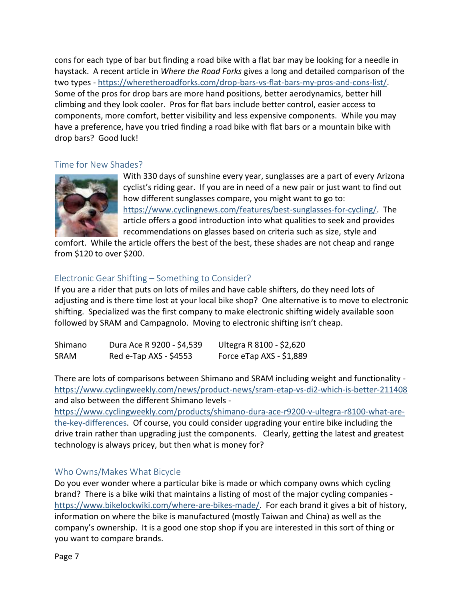cons for each type of bar but finding a road bike with a flat bar may be looking for a needle in haystack. A recent article in *Where the Road Forks* gives a long and detailed comparison of the two types - [https://wheretheroadforks.com/drop-bars-vs-flat-bars-my-pros-and-cons-list/.](https://wheretheroadforks.com/drop-bars-vs-flat-bars-my-pros-and-cons-list/) Some of the pros for drop bars are more hand positions, better aerodynamics, better hill climbing and they look cooler. Pros for flat bars include better control, easier access to components, more comfort, better visibility and less expensive components. While you may have a preference, have you tried finding a road bike with flat bars or a mountain bike with drop bars? Good luck!

#### <span id="page-6-0"></span>Time for New Shades?



With 330 days of sunshine every year, sunglasses are a part of every Arizona cyclist's riding gear. If you are in need of a new pair or just want to find out how different sunglasses compare, you might want to go to: [https://www.cyclingnews.com/features/best-sunglasses-for-cycling/.](https://www.cyclingnews.com/features/best-sunglasses-for-cycling/) The article offers a good introduction into what qualities to seek and provides recommendations on glasses based on criteria such as size, style and

comfort. While the article offers the best of the best, these shades are not cheap and range from \$120 to over \$200.

#### <span id="page-6-1"></span>Electronic Gear Shifting – Something to Consider?

If you are a rider that puts on lots of miles and have cable shifters, do they need lots of adjusting and is there time lost at your local bike shop? One alternative is to move to electronic shifting. Specialized was the first company to make electronic shifting widely available soon followed by SRAM and Campagnolo. Moving to electronic shifting isn't cheap.

| Shimano | Dura Ace R 9200 - \$4,539 | Ultegra R 8100 - \$2,620 |
|---------|---------------------------|--------------------------|
| SRAM    | Red e-Tap AXS - $$4553$   | Force eTap AXS - \$1,889 |

There are lots of comparisons between Shimano and SRAM including weight and functionality <https://www.cyclingweekly.com/news/product-news/sram-etap-vs-di2-which-is-better-211408> and also between the different Shimano levels -

[https://www.cyclingweekly.com/products/shimano-dura-ace-r9200-v-ultegra-r8100-what-are](https://www.cyclingweekly.com/products/shimano-dura-ace-r9200-v-ultegra-r8100-what-are-the-key-differences)[the-key-differences.](https://www.cyclingweekly.com/products/shimano-dura-ace-r9200-v-ultegra-r8100-what-are-the-key-differences) Of course, you could consider upgrading your entire bike including the drive train rather than upgrading just the components. Clearly, getting the latest and greatest technology is always pricey, but then what is money for?

#### <span id="page-6-2"></span>Who Owns/Makes What Bicycle

Do you ever wonder where a particular bike is made or which company owns which cycling brand? There is a bike wiki that maintains a listing of most of the major cycling companies [https://www.bikelockwiki.com/where-are-bikes-made/.](https://www.bikelockwiki.com/where-are-bikes-made/) For each brand it gives a bit of history, information on where the bike is manufactured (mostly Taiwan and China) as well as the company's ownership. It is a good one stop shop if you are interested in this sort of thing or you want to compare brands.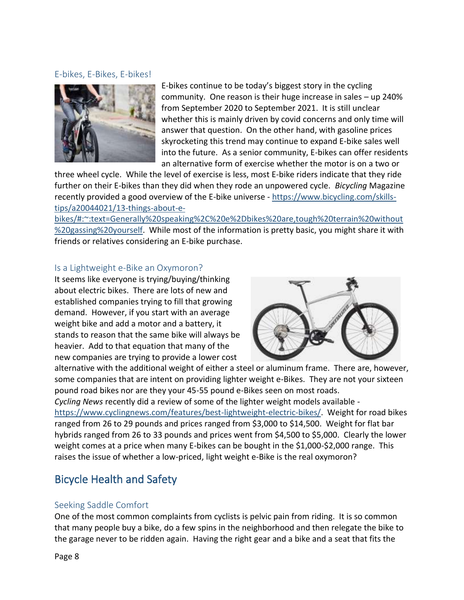#### <span id="page-7-0"></span>E-bikes, E-Bikes, E-bikes!



E-bikes continue to be today's biggest story in the cycling community. One reason is their huge increase in sales – up 240% from September 2020 to September 2021. It is still unclear whether this is mainly driven by covid concerns and only time will answer that question. On the other hand, with gasoline prices skyrocketing this trend may continue to expand E-bike sales well into the future. As a senior community, E-bikes can offer residents an alternative form of exercise whether the motor is on a two or

three wheel cycle. While the level of exercise is less, most E-bike riders indicate that they ride further on their E-bikes than they did when they rode an unpowered cycle. *Bicycling* Magazine recently provided a good overview of the E-bike universe - [https://www.bicycling.com/skills](https://www.bicycling.com/skills-tips/a20044021/13-things-about-e-bikes/#:~:text=Generally%20speaking%2C%20e%2Dbikes%20are,tough%20terrain%20without%20gassing%20yourself)[tips/a20044021/13-things-about-e-](https://www.bicycling.com/skills-tips/a20044021/13-things-about-e-bikes/#:~:text=Generally%20speaking%2C%20e%2Dbikes%20are,tough%20terrain%20without%20gassing%20yourself)

[bikes/#:~:text=Generally%20speaking%2C%20e%2Dbikes%20are,tough%20terrain%20without](https://www.bicycling.com/skills-tips/a20044021/13-things-about-e-bikes/#:~:text=Generally%20speaking%2C%20e%2Dbikes%20are,tough%20terrain%20without%20gassing%20yourself) [%20gassing%20yourself.](https://www.bicycling.com/skills-tips/a20044021/13-things-about-e-bikes/#:~:text=Generally%20speaking%2C%20e%2Dbikes%20are,tough%20terrain%20without%20gassing%20yourself) While most of the information is pretty basic, you might share it with friends or relatives considering an E-bike purchase.

#### <span id="page-7-1"></span>Is a Lightweight e-Bike an Oxymoron?

It seems like everyone is trying/buying/thinking about electric bikes. There are lots of new and established companies trying to fill that growing demand. However, if you start with an average weight bike and add a motor and a battery, it stands to reason that the same bike will always be heavier. Add to that equation that many of the new companies are trying to provide a lower cost



alternative with the additional weight of either a steel or aluminum frame. There are, however, some companies that are intent on providing lighter weight e-Bikes. They are not your sixteen pound road bikes nor are they your 45-55 pound e-Bikes seen on most roads.

*Cycling News* recently did a review of some of the lighter weight models available [https://www.cyclingnews.com/features/best-lightweight-electric-bikes/.](https://www.cyclingnews.com/features/best-lightweight-electric-bikes/) Weight for road bikes ranged from 26 to 29 pounds and prices ranged from \$3,000 to \$14,500. Weight for flat bar hybrids ranged from 26 to 33 pounds and prices went from \$4,500 to \$5,000. Clearly the lower weight comes at a price when many E-bikes can be bought in the \$1,000-\$2,000 range. This raises the issue of whether a low-priced, light weight e-Bike is the real oxymoron?

### <span id="page-7-2"></span>Bicycle Health and Safety

#### <span id="page-7-3"></span>Seeking Saddle Comfort

One of the most common complaints from cyclists is pelvic pain from riding. It is so common that many people buy a bike, do a few spins in the neighborhood and then relegate the bike to the garage never to be ridden again. Having the right gear and a bike and a seat that fits the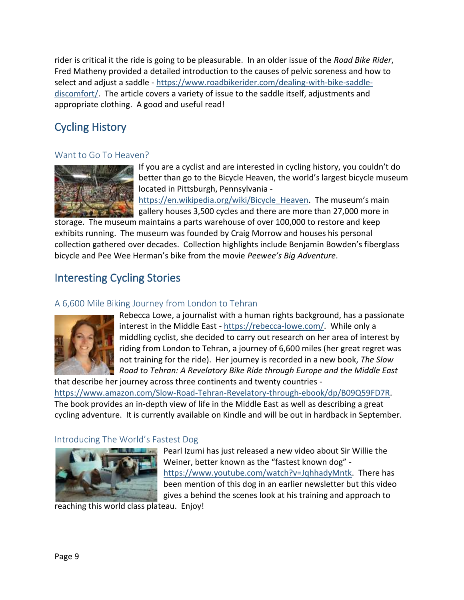rider is critical it the ride is going to be pleasurable. In an older issue of the *Road Bike Rider*, Fred Matheny provided a detailed introduction to the causes of pelvic soreness and how to select and adjust a saddle - [https://www.roadbikerider.com/dealing-with-bike-saddle](https://www.roadbikerider.com/dealing-with-bike-saddle-discomfort/)[discomfort/.](https://www.roadbikerider.com/dealing-with-bike-saddle-discomfort/) The article covers a variety of issue to the saddle itself, adjustments and appropriate clothing. A good and useful read!

# <span id="page-8-0"></span>Cycling History

#### <span id="page-8-1"></span>Want to Go To Heaven?



If you are a cyclist and are interested in cycling history, you couldn't do better than go to the Bicycle Heaven, the world's largest bicycle museum located in Pittsburgh, Pennsylvania -

[https://en.wikipedia.org/wiki/Bicycle\\_Heaven](https://en.wikipedia.org/wiki/Bicycle_Heaven). The museum's main gallery houses 3,500 cycles and there are more than 27,000 more in

storage. The museum maintains a parts warehouse of over 100,000 to restore and keep exhibits running. The museum was founded by Craig Morrow and houses his personal collection gathered over decades. Collection highlights include Benjamin Bowden's fiberglass bicycle and Pee Wee Herman's bike from the movie *Peewee's Big Adventure*.

### <span id="page-8-2"></span>Interesting Cycling Stories

#### <span id="page-8-3"></span>A 6,600 Mile Biking Journey from London to Tehran



Rebecca Lowe, a journalist with a human rights background, has a passionate interest in the Middle East - [https://rebecca-lowe.com/.](https://rebecca-lowe.com/) While only a middling cyclist, she decided to carry out research on her area of interest by riding from London to Tehran, a journey of 6,600 miles (her great regret was not training for the ride). Her journey is recorded in a new book, *The Slow Road to Tehran: A Revelatory Bike Ride through Europe and the Middle East*

that describe her journey across three continents and twenty countries [https://www.amazon.com/Slow-Road-Tehran-Revelatory-through-ebook/dp/B09Q59FD7R.](https://www.amazon.com/Slow-Road-Tehran-Revelatory-through-ebook/dp/B09Q59FD7R) The book provides an in-depth view of life in the Middle East as well as describing a great cycling adventure. It is currently available on Kindle and will be out in hardback in September.

#### <span id="page-8-4"></span>Introducing The World's Fastest Dog



Pearl Izumi has just released a new video about Sir Willie the Weiner, better known as the "fastest known dog" [https://www.youtube.com/watch?v=JqhhadyMntk.](https://www.youtube.com/watch?v=JqhhadyMntk) There has been mention of this dog in an earlier newsletter but this video gives a behind the scenes look at his training and approach to

reaching this world class plateau. Enjoy!